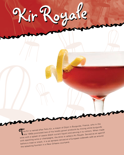## The Kir is named after Felix Kir, a mayor of Dijon in Burgundy, France, who in the burgundy has a margin of his locally grown products by mixing white burgundy late 1940s promoted two of his locally grown products by mixin The Kir is named after Felix Kir, a mayor of Dijon in Burgundy, France, who in the last of cases (black currant liquor) and serving it to visitors. When made wine with a splash of cassis (black currant liquor) and serving with sparkling wine or champagne, the drink is called a Kir Royale. Served as an aperitif before a meal or snack, it is as apropos served at a European sidewalk café as aroun<sup>d</sup> the splashing fountain in a New Orleans courtyard.

Kir Royale Kir Royale